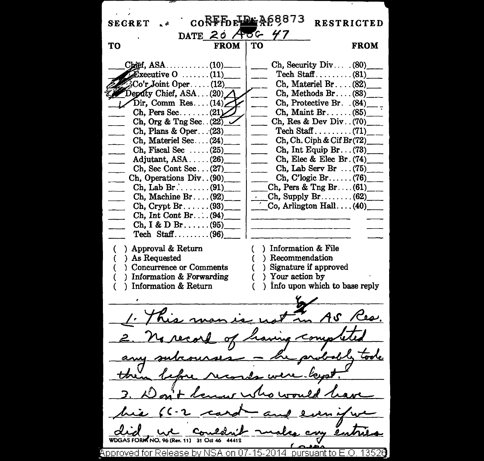$60$ <sub>RFF</sub> $_{\text{R}}$ <sub>RFB</sub> $_{\text{R}}$ <sub>RF</sub> $_{\text{R}}$ <sub>RF</sub> $_{\text{R}}$ <sub>8</sub>68873 **SECRET RESTRICTED** DATE 20 AOG 47 TΩ **FROM FROM** TО  $Chief. ASA.$ .........  $(10)$ . Ch, Security Div...  $(80)$  $\widehat{\mathbf{E}}$ xecutive  $0$  ......(11) Co'r Joint Oper...  $Ch.$  Materiel  $Br.$ ...(82)  $(12)$  $Z$  Deputy Chief, ASA ... (20)  $Ch.$  Methods  $Br. \ldots (83)$  $Dir, Comm Res... (14)$ Ch. Protective Br. (84)  $Ch.$  Pers Sec....... $(21)$  $Ch.$  Maint Br.  $\dots$  (85) Ch, Org & Tng Sec.  $(22)$ Ch, Res & Dev Div.  $(70)$ Ch, Plans & Oper...(23)  $Ch. Ch. Cish & Cif Br(72)$ Ch. Materiel Sec...(24) Ch, Fiscal Sec.....  $(25)$  $Ch, Int Equation Br... (73)$ Ch. Elec & Elec Br. (74) Adjutant,  $ASA$ ..... $(26)$ Ch, Sec Cont Sec... $(27)$ Ch. Lab Serv Br  $\ldots$  (75) Ch. Operations Div. (90)  $Ch, C'logic Br. \ldots (76)$ Ch, Pers & Tng Br.... $(61)$ Ch. Machine Br.... $(92)$ Ch. Supply  $Br_{\ldots}$  (62) Co. Arlington  $Hall$ ...(40)  $Ch.$  Crypt  $Br. \ldots. (93)$ Ch. Int Cont Br... $(94)$  $Ch, I & D Br. \ldots (95)$ Tech Staff......... $(96)$ ) Approval & Return ) Information & File Recommendation ) As Requested ) Signature if approved Concurrence or Comments ) Information & Forwarding ) Your action by Information & Return ) Info upon which to base reply  $A S$ **WDGAS FORM NO. 96 (Rev. 11) 31 Oct 46** Approved for Release by NSA on 07-15-2014 pursuant to E.O. 13526